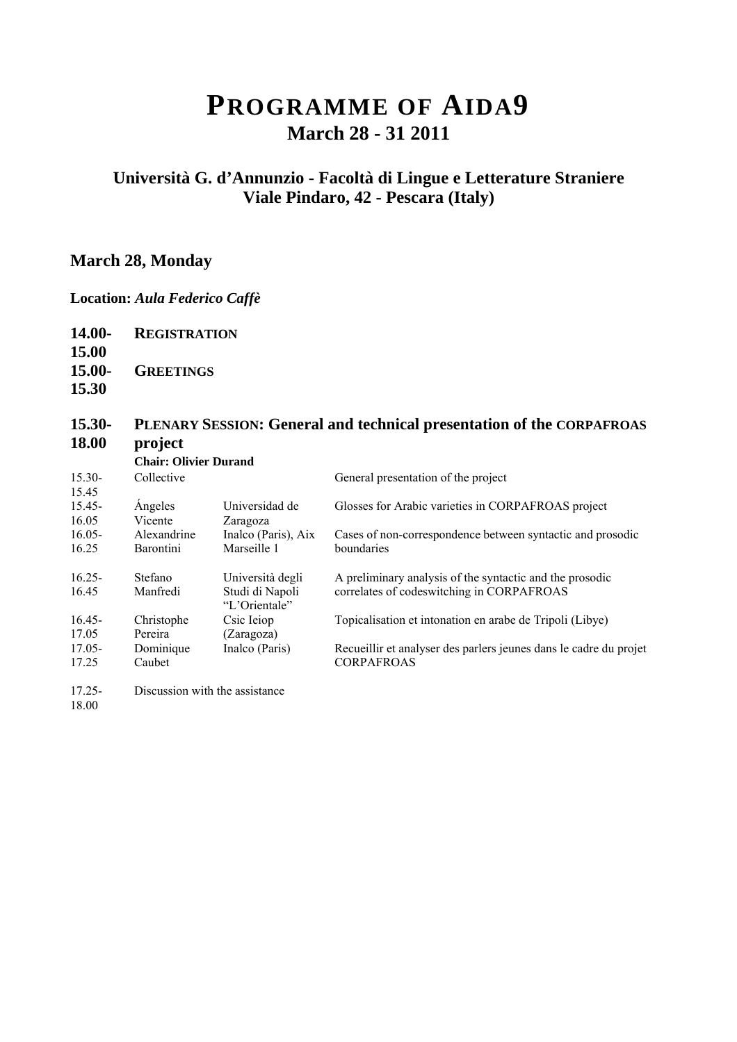## **PROGRAMME OF AIDA9 March 28 - 31 2011**

### **Università G. d'Annunzio - Facoltà di Lingue e Letterature Straniere Viale Pindaro, 42 - Pescara (Italy)**

### **March 28, Monday**

#### **Location:** *Aula Federico Caffè*

**14.00- REGISTRATION**

**15.00 15.00- GREETINGS**

**15.30** 

#### **15.30- 18.00 PLENARY SESSION: General and technical presentation of the CORPAFROAS project**

|           | <b>Chair: Olivier Durand</b> |                                  |                                                                   |
|-----------|------------------------------|----------------------------------|-------------------------------------------------------------------|
| $15.30-$  | Collective                   |                                  | General presentation of the project                               |
| 15.45     |                              |                                  |                                                                   |
| $15.45 -$ | Angeles                      | Universidad de                   | Glosses for Arabic varieties in CORPAFROAS project                |
| 16.05     | Vicente                      | Zaragoza                         |                                                                   |
| $16.05 -$ | Alexandrine                  | Inalco (Paris), Aix              | Cases of non-correspondence between syntactic and prosodic        |
| 16.25     | <b>Barontini</b>             | Marseille 1                      | boundaries                                                        |
| $16.25 -$ | Stefano                      | Università degli                 | A preliminary analysis of the syntactic and the prosodic          |
| 16.45     | Manfredi                     | Studi di Napoli<br>"L'Orientale" | correlates of codeswitching in CORPAFROAS                         |
| $16.45 -$ | Christophe                   | Csic Ieiop                       | Topicalisation et intonation en arabe de Tripoli (Libye)          |
| 17.05     | Pereira                      | (Zaragoza)                       |                                                                   |
| $17.05 -$ | Dominique                    | Inalco (Paris)                   | Recueillir et analyser des parlers jeunes dans le cadre du projet |
| 17.25     | Caubet                       |                                  | <b>CORPAFROAS</b>                                                 |
| $17.25 -$ |                              | Discussion with the assistance   |                                                                   |
| 18.00     |                              |                                  |                                                                   |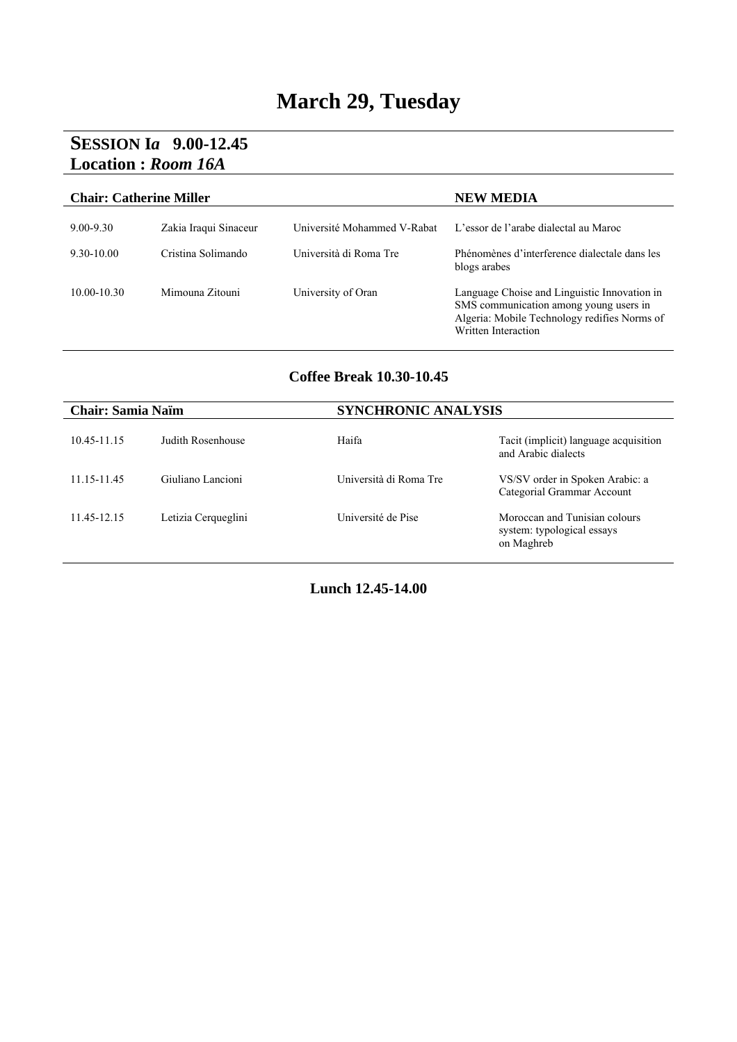# **March 29, Tuesday**

### **SESSION I***a* **9.00-12.45 Location :** *Room 16A*

| <b>Chair: Catherine Miller</b> |                       | <b>NEW MEDIA</b>            |                                                                                                                                                               |
|--------------------------------|-----------------------|-----------------------------|---------------------------------------------------------------------------------------------------------------------------------------------------------------|
| $9.00 - 9.30$                  | Zakia Iraqui Sinaceur | Université Mohammed V-Rabat | L'essor de l'arabe dialectal au Maroc                                                                                                                         |
| $9.30 - 10.00$                 | Cristina Solimando    | Università di Roma Tre      | Phénomènes d'interference dialectale dans les<br>blogs arabes                                                                                                 |
| $10.00 - 10.30$                | Mimouna Zitouni       | University of Oran          | Language Choise and Linguistic Innovation in<br>SMS communication among young users in<br>Algeria: Mobile Technology redifies Norms of<br>Written Interaction |

#### **Coffee Break 10.30-10.45**

| <b>Chair: Samia Naïm</b> |                     | <b>SYNCHRONIC ANALYSIS</b> |                                                                           |
|--------------------------|---------------------|----------------------------|---------------------------------------------------------------------------|
| 10.45-11.15              | Judith Rosenhouse   | Haifa                      | Tacit (implicit) language acquisition<br>and Arabic dialects              |
| 11.15-11.45              | Giuliano Lancioni   | Università di Roma Tre     | VS/SV order in Spoken Arabic: a<br>Categorial Grammar Account             |
| 11 45-12 15              | Letizia Cerqueglini | Université de Pise         | Moroccan and Tunisian colours<br>system: typological essays<br>on Maghreb |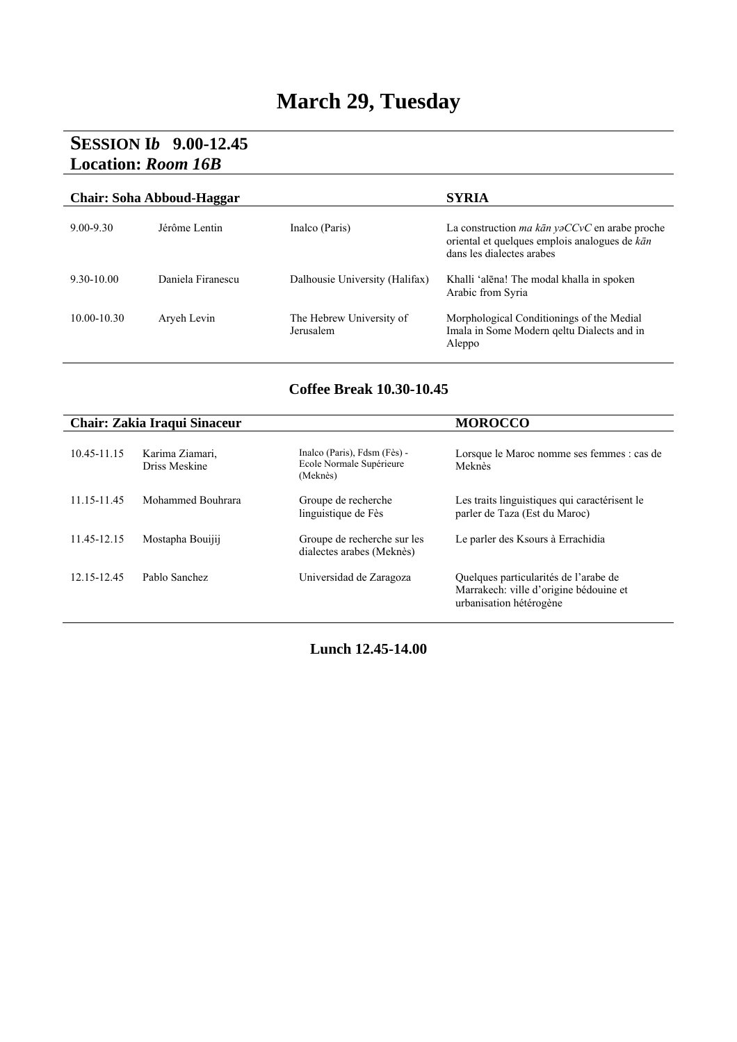# **March 29, Tuesday**

### **SESSION I***b* **9.00-12.45 Location:** *Room 16B*

| <b>Chair: Soha Abboud-Haggar</b> |                   |                                       | <b>SYRIA</b>                                                                                                                       |
|----------------------------------|-------------------|---------------------------------------|------------------------------------------------------------------------------------------------------------------------------------|
| $9.00 - 9.30$                    | Jérôme Lentin     | Inalco (Paris)                        | La construction <i>ma kān yaCCvC</i> en arabe proche<br>oriental et quelques emplois analogues de kān<br>dans les dialectes arabes |
| $9,30-10,00$                     | Daniela Firanescu | Dalhousie University (Halifax)        | Khalli 'alēna! The modal khalla in spoken<br>Arabic from Syria                                                                     |
| $10.00 - 10.30$                  | Aryeh Levin       | The Hebrew University of<br>Jerusalem | Morphological Conditionings of the Medial<br>Imala in Some Modern geltu Dialects and in<br>Aleppo                                  |

### **Coffee Break 10.30-10.45**

|             | Chair: Zakia Iraqui Sinaceur     |                                                                      | <b>MOROCCO</b>                                                                                             |
|-------------|----------------------------------|----------------------------------------------------------------------|------------------------------------------------------------------------------------------------------------|
| 10.45-11.15 | Karima Ziamari,<br>Driss Meskine | Inalco (Paris), Fdsm (Fès) -<br>Ecole Normale Supérieure<br>(Meknès) | Lorsque le Maroc nomme ses femmes : cas de<br>Meknès                                                       |
| 11.15-11.45 | Mohammed Bouhrara                | Groupe de recherche<br>linguistique de Fès                           | Les traits linguistiques qui caractérisent le<br>parler de Taza (Est du Maroc)                             |
| 11.45-12.15 | Mostapha Bouijii                 | Groupe de recherche sur les<br>dialectes arabes (Meknès)             | Le parler des Ksours à Errachidia                                                                          |
| 12.15-12.45 | Pablo Sanchez                    | Universidad de Zaragoza                                              | Quelques particularités de l'arabe de<br>Marrakech: ville d'origine bédouine et<br>urbanisation hétérogène |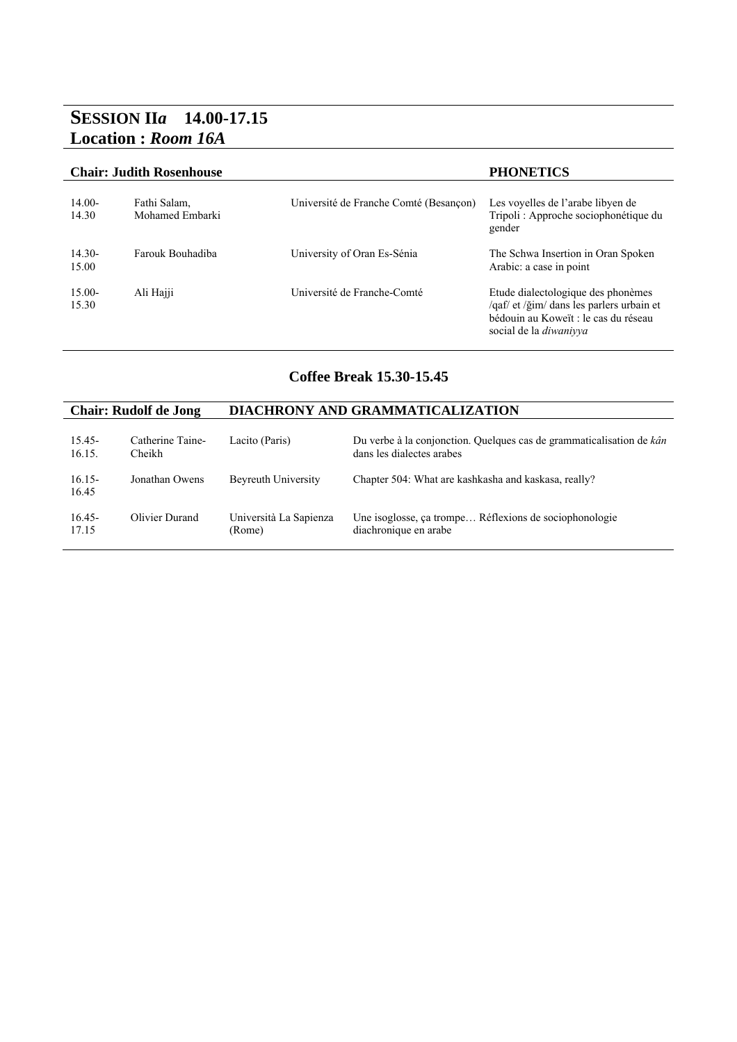### **SESSION II***a* **14.00-17.15 Location :** *Room 16A*

|                   | <b>Chair: Judith Rosenhouse</b> |                                        | <b>PHONETICS</b>                                                                                                                                         |  |  |
|-------------------|---------------------------------|----------------------------------------|----------------------------------------------------------------------------------------------------------------------------------------------------------|--|--|
| $14.00-$<br>14.30 | Fathi Salam,<br>Mohamed Embarki | Université de Franche Comté (Besançon) | Les voyelles de l'arabe libyen de<br>Tripoli: Approche sociophonétique du<br>gender                                                                      |  |  |
| $14.30-$<br>15.00 | Farouk Bouhadiba                | University of Oran Es-Sénia            | The Schwa Insertion in Oran Spoken<br>Arabic: a case in point                                                                                            |  |  |
| $15.00-$<br>15.30 | Ali Hajji                       | Université de Franche-Comté            | Etude dialectologique des phonèmes<br>/qaf/ et /ğim/ dans les parlers urbain et<br>bédouin au Koweït : le cas du réseau<br>social de la <i>diwanivya</i> |  |  |

#### **Coffee Break 15.30-15.45**

| <b>Chair: Rudolf de Jong</b> |                  | DIACHRONY AND GRAMMATICALIZATION |                                                                      |  |
|------------------------------|------------------|----------------------------------|----------------------------------------------------------------------|--|
| $15.45 -$                    | Catherine Taine- | Lacito (Paris)                   | Du verbe à la conjonction. Quelques cas de grammaticalisation de kân |  |
| 16.15.                       | Cheikh           |                                  | dans les dialectes arabes                                            |  |
| $16.15 -$<br>16.45           | Jonathan Owens   | Beyreuth University              | Chapter 504: What are kashkasha and kaskasa, really?                 |  |
| $16.45 -$                    | Olivier Durand   | Università La Sapienza           | Une isoglosse, ça trompe Réflexions de sociophonologie               |  |
| 17.15                        |                  | (Rome)                           | diachronique en arabe                                                |  |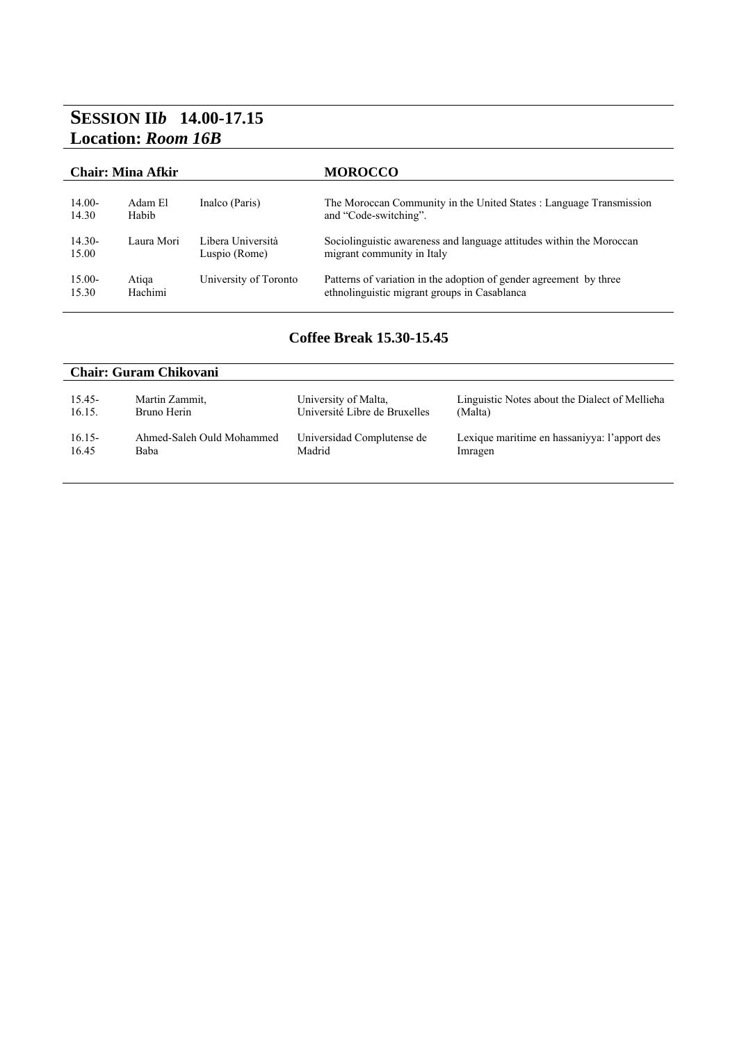## **SESSION II***b* **14.00-17.15 Location:** *Room 16B*

| <b>Chair: Mina Afkir</b> |            |                       | <b>MOROCCO</b>                                                       |  |
|--------------------------|------------|-----------------------|----------------------------------------------------------------------|--|
| $14.00-$                 | Adam El    | Inalco (Paris)        | The Moroccan Community in the United States : Language Transmission  |  |
| 14.30                    | Habib      |                       | and "Code-switching".                                                |  |
| $14.30-$                 | Laura Mori | Libera Università     | Sociolinguistic awareness and language attitudes within the Moroccan |  |
| 15.00                    |            | Luspio (Rome)         | migrant community in Italy                                           |  |
| $15.00 -$                | Atiga      | University of Toronto | Patterns of variation in the adoption of gender agreement by three   |  |
| 15.30                    | Hachimi    |                       | ethnolinguistic migrant groups in Casablanca                         |  |

#### **Coffee Break 15.30-15.45**

| <b>Chair: Guram Chikovani</b> |                           |                               |                                                |  |
|-------------------------------|---------------------------|-------------------------------|------------------------------------------------|--|
| 15.45-                        | Martin Zammit,            | University of Malta,          | Linguistic Notes about the Dialect of Mellieha |  |
| 16.15.                        | Bruno Herin               | Université Libre de Bruxelles | (Malta)                                        |  |
| $16.15-$                      | Ahmed-Saleh Ould Mohammed | Universidad Complutense de    | Lexique maritime en hassanivya: l'apport des   |  |
| 16.45                         | <b>Baba</b>               | Madrid                        | Imragen                                        |  |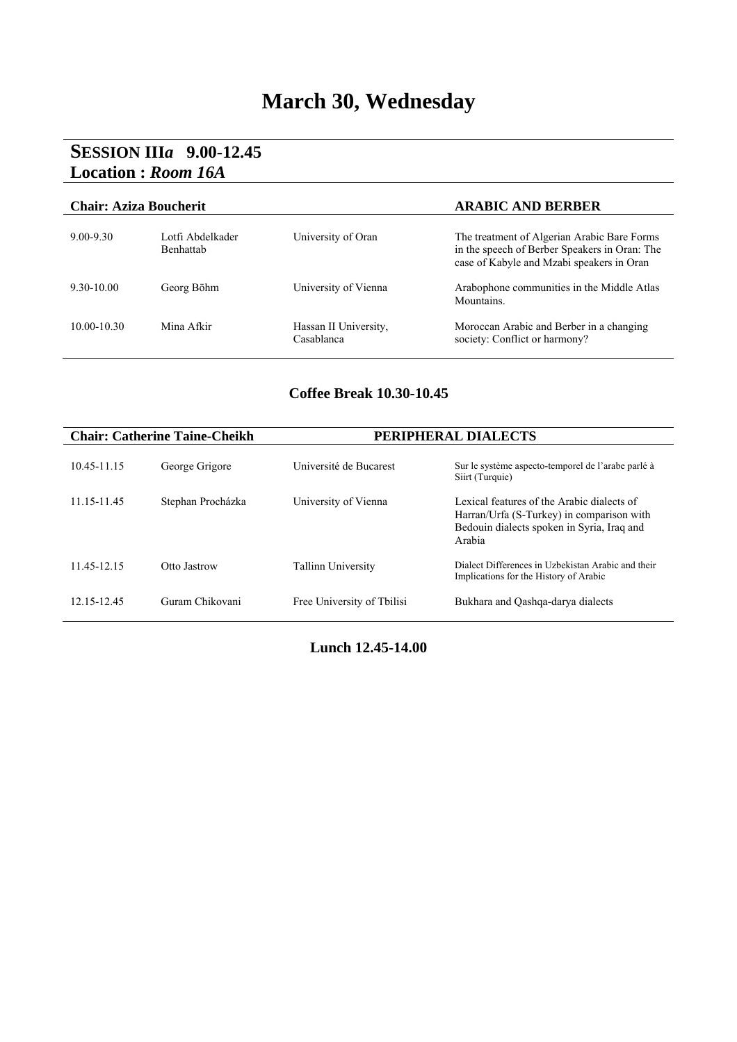## **March 30, Wednesday**

### **SESSION III***a* **9.00-12.45 Location :** *Room 16A*

| <b>Chair: Aziza Boucherit</b> |                                      |                                     | <b>ARABIC AND BERBER</b>                                                                                                                  |
|-------------------------------|--------------------------------------|-------------------------------------|-------------------------------------------------------------------------------------------------------------------------------------------|
| $9.00 - 9.30$                 | Lotfi Abdelkader<br><b>Benhattab</b> | University of Oran                  | The treatment of Algerian Arabic Bare Forms<br>in the speech of Berber Speakers in Oran: The<br>case of Kabyle and Mzabi speakers in Oran |
| $9.30 - 10.00$                | Georg Böhm                           | University of Vienna                | Arabophone communities in the Middle Atlas<br>Mountains                                                                                   |
| $10.00 - 10.30$               | Mina Afkir                           | Hassan II University,<br>Casablanca | Moroccan Arabic and Berber in a changing<br>society: Conflict or harmony?                                                                 |

### **Coffee Break 10.30-10.45**

|             | <b>Chair: Catherine Taine-Cheikh</b> | PERIPHERAL DIALECTS        |                                                                                                                                                 |
|-------------|--------------------------------------|----------------------------|-------------------------------------------------------------------------------------------------------------------------------------------------|
| 10.45-11.15 | George Grigore                       | Université de Bucarest     | Sur le système aspecto-temporel de l'arabe parlé à<br>Siirt (Turquie)                                                                           |
| 11.15-11.45 | Stephan Procházka                    | University of Vienna       | Lexical features of the Arabic dialects of<br>Harran/Urfa (S-Turkey) in comparison with<br>Bedouin dialects spoken in Syria, Iraq and<br>Arabia |
| 11 45-12 15 | Otto Jastrow                         | <b>Tallinn University</b>  | Dialect Differences in Uzbekistan Arabic and their<br>Implications for the History of Arabic                                                    |
| 12.15-12.45 | Guram Chikovani                      | Free University of Tbilisi | Bukhara and Oashqa-darya dialects                                                                                                               |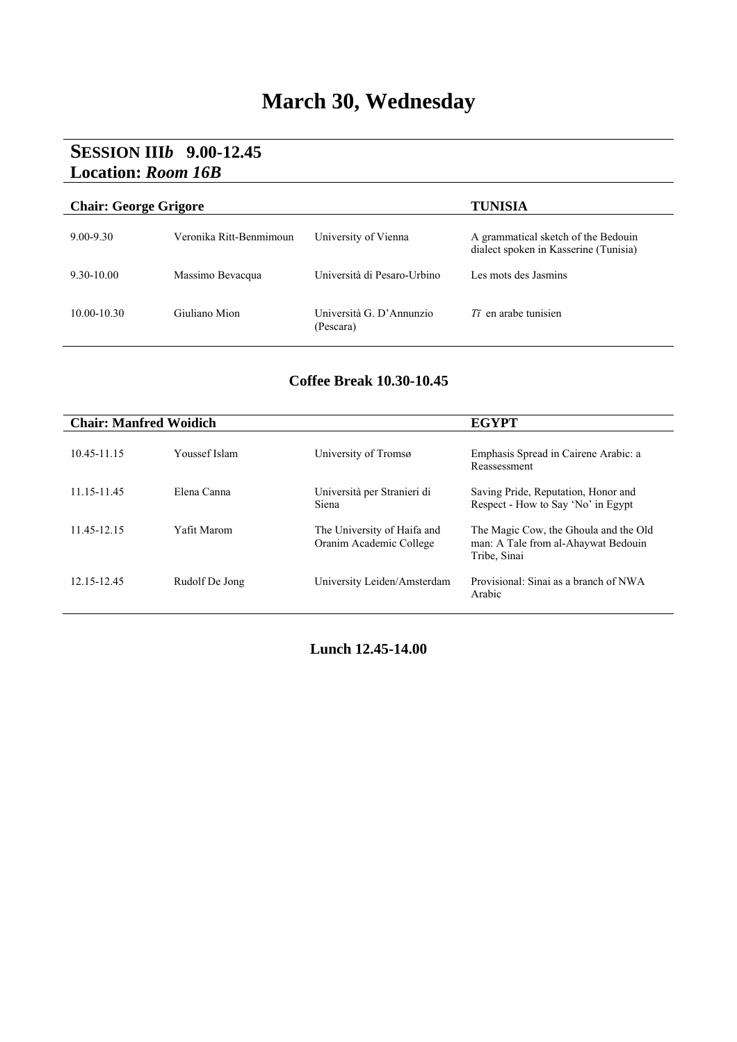## **March 30, Wednesday**

### **SESSION III***b* **9.00-12.45 Location:** *Room 16B*

| <b>Chair: George Grigore</b> |                         | TUNISIA                               |                                                                              |
|------------------------------|-------------------------|---------------------------------------|------------------------------------------------------------------------------|
| $9.00 - 9.30$                | Veronika Ritt-Benmimoun | University of Vienna                  | A grammatical sketch of the Bedouin<br>dialect spoken in Kasserine (Tunisia) |
| $9.30 - 10.00$               | Massimo Bevacqua        | Università di Pesaro-Urbino           | Les mots des Jasmins                                                         |
| $10.00 - 10.30$              | Giuliano Mion           | Università G. D'Annunzio<br>(Pescara) | $T\bar{\imath}$ en arabe tunisien                                            |

#### **Coffee Break 10.30-10.45**

| <b>Chair: Manfred Woidich</b> |                |                                                        | <b>EGYPT</b>                                                                                 |
|-------------------------------|----------------|--------------------------------------------------------|----------------------------------------------------------------------------------------------|
| 10.45-11.15                   | Youssef Islam  | University of Tromsø                                   | Emphasis Spread in Cairene Arabic: a<br>Reassessment                                         |
| 11.15-11.45                   | Elena Canna    | Università per Stranieri di<br>Siena                   | Saving Pride, Reputation, Honor and<br>Respect - How to Say 'No' in Egypt                    |
| 11.45-12.15                   | Yafit Marom    | The University of Haifa and<br>Oranim Academic College | The Magic Cow, the Ghoula and the Old<br>man: A Tale from al-Ahaywat Bedouin<br>Tribe, Sinai |
| 12.15-12.45                   | Rudolf De Jong | University Leiden/Amsterdam                            | Provisional: Sinai as a branch of NWA<br>Arabic                                              |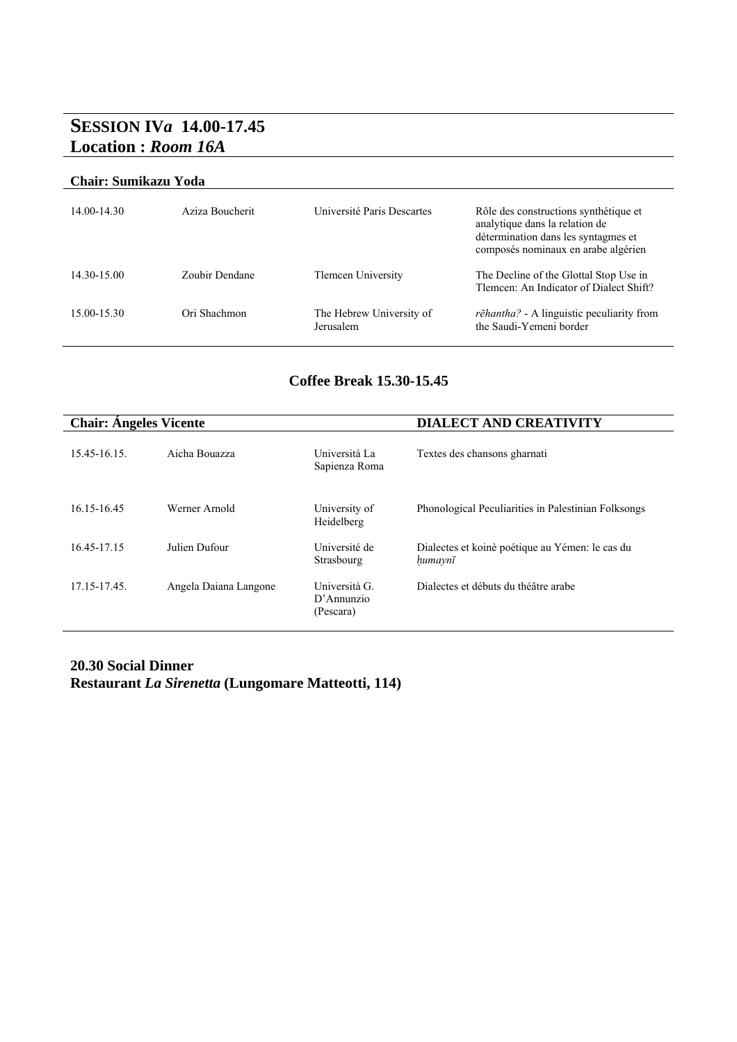### **SESSION IV***a* **14.00-17.45 Location :** *Room 16A*

#### **Chair: Sumikazu Yoda**

| 14.00-14.30 | Aziza Boucherit | Université Paris Descartes            | Rôle des constructions synthétique et<br>analytique dans la relation de<br>détermination dans les syntagmes et<br>composés nominaux en arabe algérien |
|-------------|-----------------|---------------------------------------|-------------------------------------------------------------------------------------------------------------------------------------------------------|
| 14.30-15.00 | Zoubir Dendane  | Tlemcen University                    | The Decline of the Glottal Stop Use in<br>Tlemcen: An Indicator of Dialect Shift?                                                                     |
| 15.00-15.30 | Ori Shachmon    | The Hebrew University of<br>Jerusalem | rēhantha? - A linguistic peculiarity from<br>the Saudi-Yemeni border                                                                                  |

#### **Coffee Break 15.30-15.45**

| <b>Chair: Angeles Vicente</b> |                       | <b>DIALECT AND CREATIVITY</b>               |                                                            |
|-------------------------------|-----------------------|---------------------------------------------|------------------------------------------------------------|
| 15.45-16.15                   | Aicha Bouazza         | Università La<br>Sapienza Roma              | Textes des chansons gharnati                               |
| 16.15-16.45                   | Werner Arnold         | University of<br>Heidelberg                 | Phonological Peculiarities in Palestinian Folksongs        |
| 16.45-17.15                   | Julien Dufour         | Université de<br>Strasbourg                 | Dialectes et koinè poétique au Yémen: le cas du<br>humaynī |
| 17.15-17.45                   | Angela Daiana Langone | Università G.<br>$D'$ Annunzio<br>(Pescara) | Dialectes et débuts du théâtre arabe                       |

#### **20.30 Social Dinner Restaurant** *La Sirenetta* **(Lungomare Matteotti, 114)**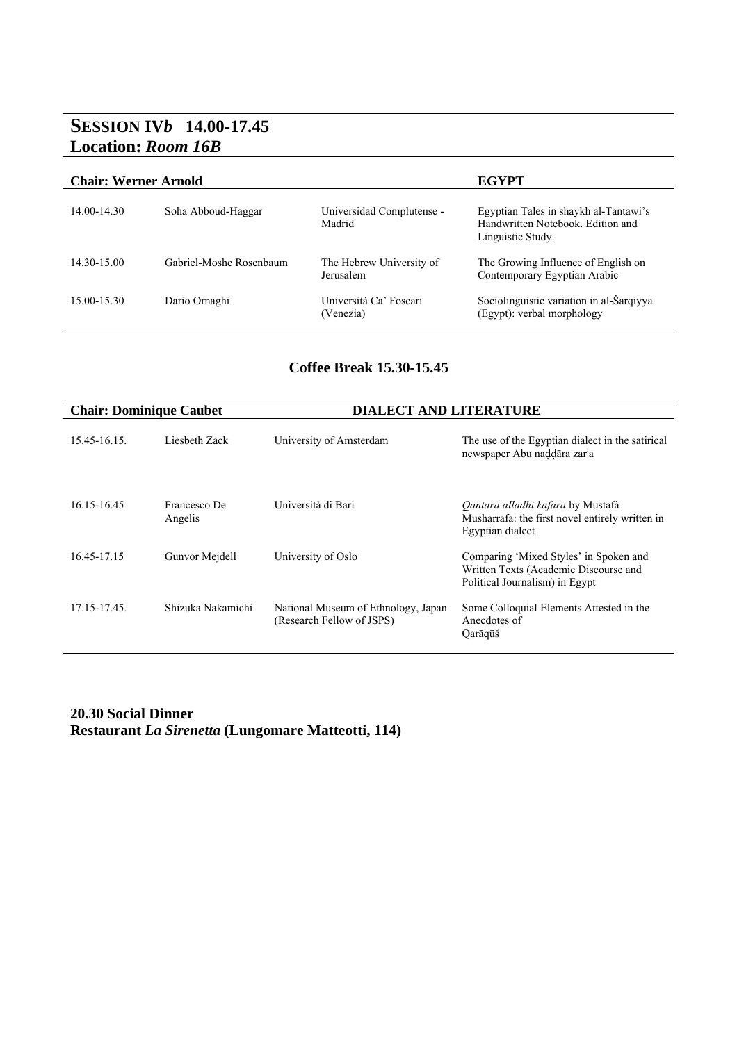### **SESSION IV***b* **14.00-17.45 Location:** *Room 16B*

#### **Chair: Werner Arnold EGYPT**

| 14.00-14.30     | Soha Abboud-Haggar      | Universidad Complutense -<br>Madrid   | Egyptian Tales in shaykh al-Tantawi's<br>Handwritten Notebook. Edition and<br>Linguistic Study. |
|-----------------|-------------------------|---------------------------------------|-------------------------------------------------------------------------------------------------|
| $14.30 - 15.00$ | Gabriel-Moshe Rosenbaum | The Hebrew University of<br>Jerusalem | The Growing Influence of English on<br>Contemporary Egyptian Arabic                             |
| 15.00-15.30     | Dario Ornaghi           | Università Ca' Foscari<br>(Venezia)   | Sociolinguistic variation in al-Šarqiyya<br>(Egypt): verbal morphology                          |

#### **Coffee Break 15.30-15.45**

| <b>Chair: Dominique Caubet</b> |                         | <b>DIALECT AND LITERATURE</b>                                    |                                                                                                                   |
|--------------------------------|-------------------------|------------------------------------------------------------------|-------------------------------------------------------------------------------------------------------------------|
| 15.45-16.15                    | Liesbeth Zack           | University of Amsterdam                                          | The use of the Egyptian dialect in the satirical<br>newspaper Abu naddāra zar'a                                   |
| 16.15-16.45                    | Francesco De<br>Angelis | Università di Bari                                               | Qantara alladhi kafara by Mustafà<br>Musharrafa: the first novel entirely written in<br>Egyptian dialect          |
| 16.45-17.15                    | Gunvor Meidell          | University of Oslo                                               | Comparing 'Mixed Styles' in Spoken and<br>Written Texts (Academic Discourse and<br>Political Journalism) in Egypt |
| 17.15-17.45                    | Shizuka Nakamichi       | National Museum of Ethnology, Japan<br>(Research Fellow of JSPS) | Some Colloquial Elements Attested in the<br>Anecdotes of<br>Qarāqūš                                               |

#### **20.30 Social Dinner Restaurant** *La Sirenetta* **(Lungomare Matteotti, 114)**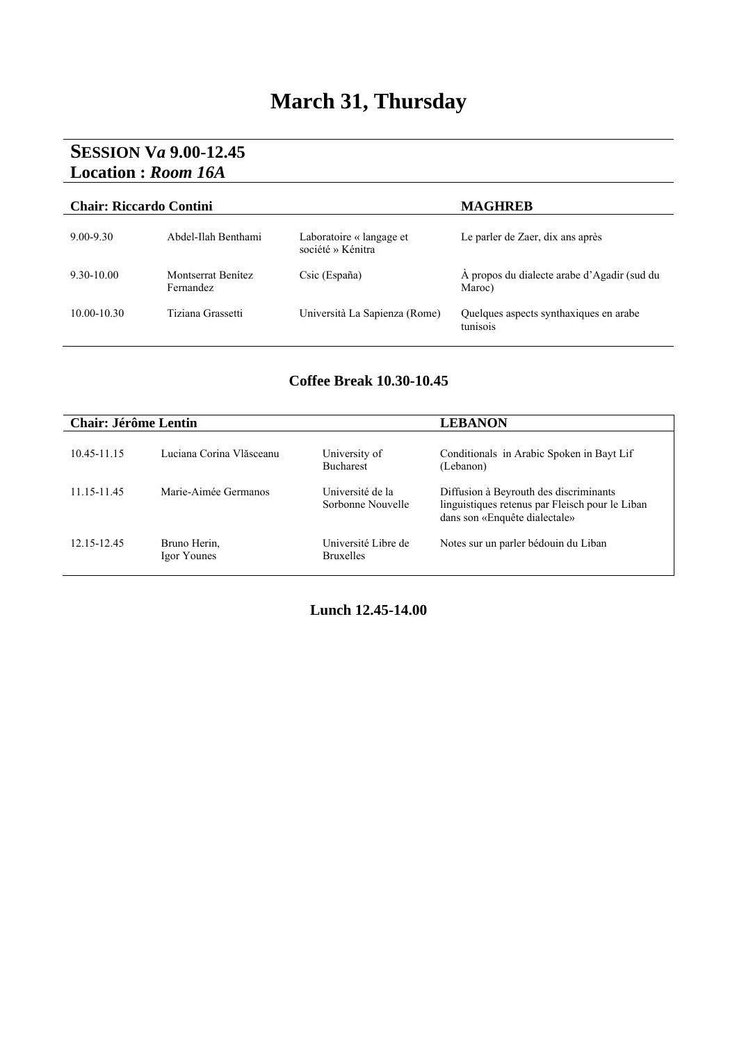## **March 31, Thursday**

### **SESSION V***a* **9.00-12.45 Location :** *Room 16A*

| <b>Chair: Riccardo Contini</b> |                                 |                                               | <b>MAGHREB</b>                                        |
|--------------------------------|---------------------------------|-----------------------------------------------|-------------------------------------------------------|
| $9.00 - 9.30$                  | Abdel-Ilah Benthami             | Laboratoire « langage et<br>société » Kénitra | Le parler de Zaer, dix ans après                      |
| $9.30 - 10.00$                 | Montserrat Benítez<br>Fernandez | Csic (España)                                 | A propos du dialecte arabe d'Agadir (sud du<br>Maroc) |
| $10.00 - 10.30$                | Tiziana Grassetti               | Università La Sapienza (Rome)                 | Quelques aspects synthaxiques en arabe<br>tunisois    |

#### **Coffee Break 10.30-10.45**

| <b>Chair: Jérôme Lentin</b> |                             |                                         | <b>LEBANON</b>                                                                                                             |
|-----------------------------|-----------------------------|-----------------------------------------|----------------------------------------------------------------------------------------------------------------------------|
| 1045-1115                   | Luciana Corina Vlăsceanu    | University of<br><b>Bucharest</b>       | Conditionals in Arabic Spoken in Bayt Lif<br>(Lebanon)                                                                     |
| 11.15-11.45                 | Marie-Aimée Germanos        | Université de la<br>Sorbonne Nouvelle   | Diffusion à Beyrouth des discriminants<br>linguistiques retenus par Fleisch pour le Liban<br>dans son «Enquête dialectale» |
| 12.15-12.45                 | Bruno Herin.<br>Igor Younes | Université Libre de<br><b>Bruxelles</b> | Notes sur un parler bédouin du Liban                                                                                       |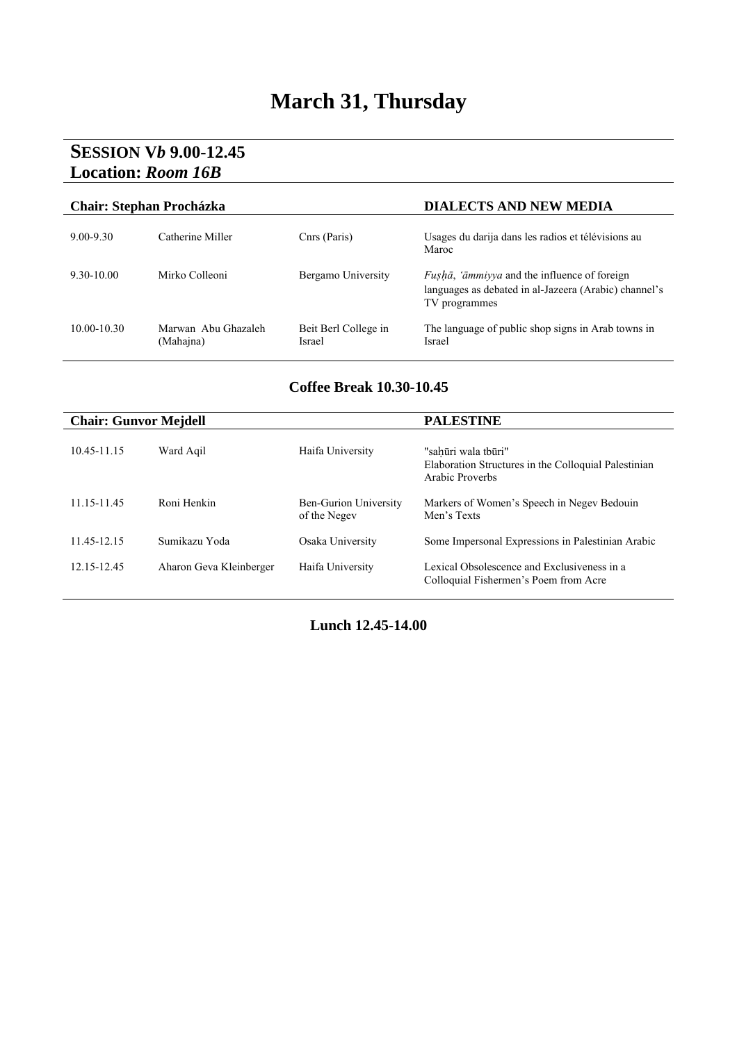## **March 31, Thursday**

### **SESSION V***b* **9.00-12.45 Location:** *Room 16B*

| <b>Chair: Stephan Procházka</b> |                                  |                                | <b>DIALECTS AND NEW MEDIA</b>                                                                                                 |
|---------------------------------|----------------------------------|--------------------------------|-------------------------------------------------------------------------------------------------------------------------------|
| $9.00 - 9.30$                   | Catherine Miller                 | Cnrs (Paris)                   | Usages du darija dans les radios et télévisions au<br>Maroc                                                                   |
| $9.30 - 10.00$                  | Mirko Colleoni                   | Bergamo University             | <i>Fushā, 'āmmiyya</i> and the influence of foreign<br>languages as debated in al-Jazeera (Arabic) channel's<br>TV programmes |
| $10.00 - 10.30$                 | Marwan Abu Ghazaleh<br>(Mahajna) | Beit Berl College in<br>Israel | The language of public shop signs in Arab towns in<br>Israel                                                                  |

#### **Coffee Break 10.30-10.45**

| <b>Chair: Gunvor Mejdell</b> |                         |                                              | <b>PALESTINE</b>                                                                               |
|------------------------------|-------------------------|----------------------------------------------|------------------------------------------------------------------------------------------------|
| 10.45-11.15                  | Ward Agil               | Haifa University                             | "sahūri wala tbūri"<br>Elaboration Structures in the Colloquial Palestinian<br>Arabic Proverbs |
| 11.15-11.45                  | Roni Henkin             | <b>Ben-Gurion University</b><br>of the Negev | Markers of Women's Speech in Negev Bedouin<br>Men's Texts                                      |
| 11.45-12.15                  | Sumikazu Yoda           | Osaka University                             | Some Impersonal Expressions in Palestinian Arabic                                              |
| 12.15-12.45                  | Aharon Geva Kleinberger | Haifa University                             | Lexical Obsolescence and Exclusiveness in a<br>Colloquial Fishermen's Poem from Acre           |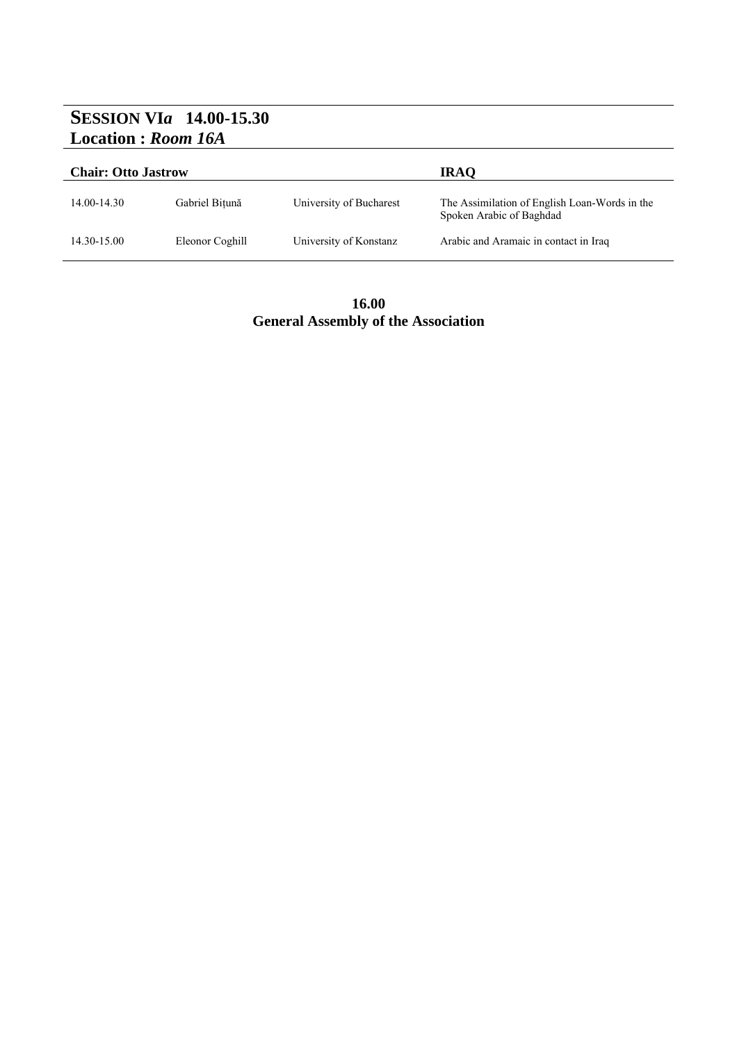## **SESSION VI***a* **14.00-15.30 Location :** *Room 16A*

| <b>Chair: Otto Jastrow</b> |                 |                         | <b>IRAQ</b>                                                               |
|----------------------------|-----------------|-------------------------|---------------------------------------------------------------------------|
| 14.00-14.30                | Gabriel Bitună  | University of Bucharest | The Assimilation of English Loan-Words in the<br>Spoken Arabic of Baghdad |
| 14.30-15.00                | Eleonor Coghill | University of Konstanz  | Arabic and Aramaic in contact in Iraq                                     |

**16.00 General Assembly of the Association**